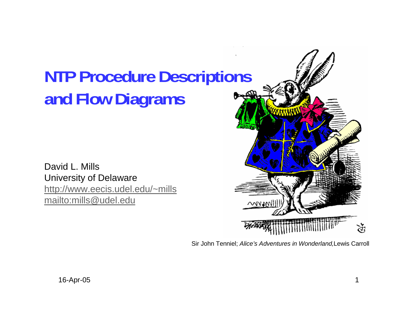# **NTP Procedure Descriptions and Flow Diagrams**

David L. MillsUniversity of Delaware http://www.eecis.udel.edu/~mills mailto:mills@udel.edu



Sir John Tenniel; *Alice's Adventures in Wonderland,*Lewis Carroll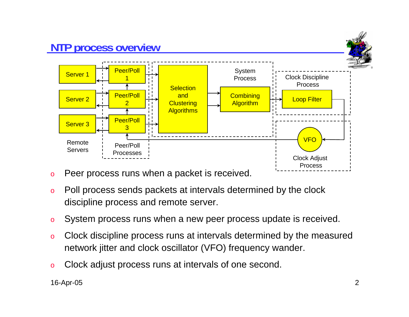

- oPeer process runs when a packet is received.
- o Poll process sends packets at intervals determined by the clock discipline process and remote server.
- oSystem process runs when a new peer process update is received.
- o Clock discipline process runs at intervals determined by the measured network jitter and clock oscillator (VFO) frequency wander.
- oClock adjust process runs at intervals of one second.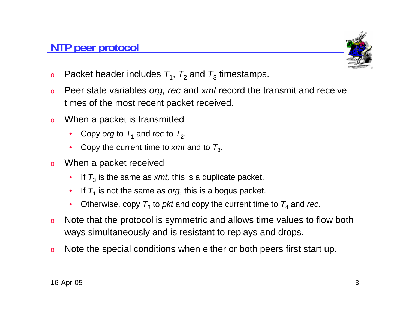#### **NTP peer protocol**



- o $\,$  Packet header includes  $\,_{1}$ ,  $\,_{2}$  and  $\,$   $\,$   $\,$  timestamps.
- o Peer state variables *org, rec* and *xmt* record the transmit and receive times of the most recent packet received.
- o When a packet is transmitted
	- •• Copy *org* to  $\mathcal{T}_1$  and *rec* to  $\mathcal{T}_2$ .
	- Copy the current time to *xmt* and to  $T_3$ .
- o When a packet received
	- • $\bullet$  If  $\mathcal{T}_3$  is the same as *xmt,* this is a duplicate packet.
	- • $\bullet$  If  $\mathcal{T}_1$  is not the same as *org*, this is a bogus packet.
	- • $\bullet$  Otherwise, copy  $\mathcal{T}_3$  to *pkt* and copy the current time to  $\mathcal{T}_4$  and *rec.*
- o Note that the protocol is symmetric and allows time values to flow both ways simultaneously and is resistant to replays and drops.
- oNote the special conditions when either or both peers first start up.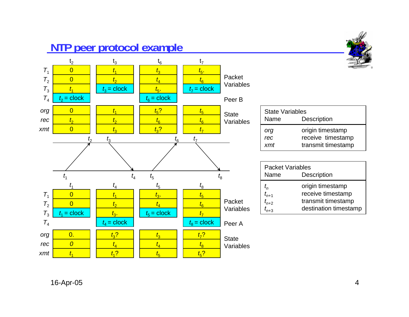### **NTP peer protocol example**

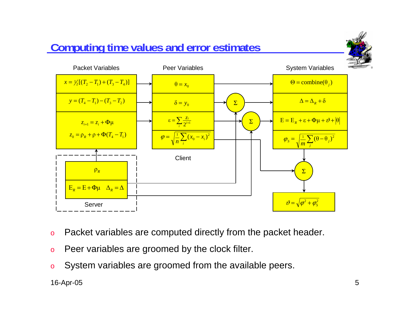#### $y = (T_4 - T_1) - (T_3 - T_2)$  $\delta = y_0$   $\longrightarrow \sum$  $=\sum_{i}\frac{z_{i}}{2^{i+1}}$  $\epsilon = \sum_i \frac{\mathcal{Z}_i}{2^{i+1}}$  $x = \frac{1}{2} [ (T_2 - T_1) + (T_3 - T_4) ]$  $z_0 = \rho_R + \rho + \Phi (T_4 - T_1)$ Σ  $z_{i+1} = z_i + \Phi$ μ  $\Theta = \text{combine}(\theta_i)$  $\Delta = \Delta_R + \delta$  $\Sigma$   $\longrightarrow$   $E = E_R + \varepsilon + \Phi \mu + \vartheta + \theta$ Packet Variables **Peer Variables Client** System Variables  $\frac{1}{n} \sum (\theta - \theta_i)^2$ *j*  $\varphi_{S} = \sqrt{\frac{1}{m} \sum_{i} (\theta -$ Σ $\mathcal{V} = \sqrt{\varphi^2 + \varphi_s^2}$  $E_R = E + \Phi \mu$   $\Delta_R = \Delta$ Server $\delta = y_{0}$  $\theta = x_{0}$  $\left(1 - x_i\right)^2$  $\frac{1}{n} \sum_{i} (x_0 - x_i)$  $x_{0} - x$  $\varphi = \sqrt{\frac{1}{n} \sum_i (x_0$ ρ*R*

- oPacket variables are computed directly from the packet header.
- oPeer variables are groomed by the clock filter.

**Computing time values and error estimates**

oSystem variables are groomed from the available peers.

16-Apr-05 5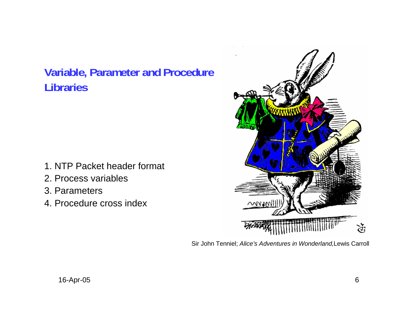#### **Variable, Parameter and Procedure Libraries**

- 1. NTP Packet header format
- 2. Process variables
- 3. Parameters
- 4. Procedure cross index



Sir John Tenniel; *Alice's Adventures in Wonderland,*Lewis Carroll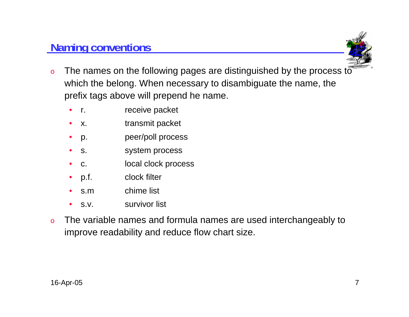#### **Naming conventions**



- o The names on the following pages are distinguished by the process to which the belong. When necessary to disambiguate the name, the prefix tags above will prepend he name.
	- $\bullet$ r. *receive packet*
	- •x. transmit packet
	- •p. peer/poll process
	- •s. system process
	- •c. local clock process
	- •p.f. clock filter
	- •s.m chime list
	- •s.v. survivor list
- o The variable names and formula names are used interchangeably to improve readability and reduce flow chart size.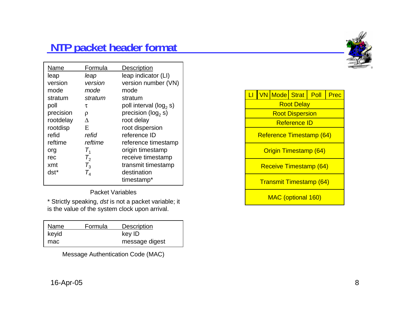#### **NTP packet header format**



| Name      | Formula         | <b>Description</b>          |
|-----------|-----------------|-----------------------------|
| leap      | leap            | leap indicator (LI)         |
| version   | version         | version number (VN)         |
| mode      | mode            | mode                        |
| stratum   | stratum         | stratum                     |
| poll      | τ               | poll interval ( $log_2 s$ ) |
| precision | ρ               | precision ( $log_2 s$ )     |
| rootdelay | Δ               | root delay                  |
| rootdisp  | E               | root dispersion             |
| refid     | refid           | reference ID                |
| reftime   | reftime         | reference timestamp         |
| org       | $T_{1}$         | origin timestamp            |
| rec       | $T_{2}$         | receive timestamp           |
| xmt       | $T_3$           | transmit timestamp          |
| dst*      | $\mathcal{T}_4$ | destination                 |
|           |                 | timestamp*                  |

Packet Variables

\* Strictly speaking, *dst* is not a packet variable; it is the value of the system clock upon arrival.

| Name  | Formula | <b>Description</b> |
|-------|---------|--------------------|
| keyid |         | key ID             |
| mac   |         | message digest     |

Message Authentication Code (MAC)

|                                |  | VN Mode Strat Poll |                        | Prec |
|--------------------------------|--|--------------------|------------------------|------|
|                                |  |                    | <b>Root Delay</b>      |      |
|                                |  |                    | <b>Root Dispersion</b> |      |
|                                |  |                    | <b>Reference ID</b>    |      |
| Reference Timestamp (64)       |  |                    |                        |      |
| <b>Origin Timestamp (64)</b>   |  |                    |                        |      |
| Receive Timestamp (64)         |  |                    |                        |      |
| <b>Transmit Timestamp (64)</b> |  |                    |                        |      |
| MAC (optional 160)             |  |                    |                        |      |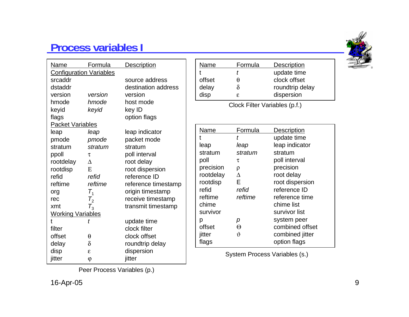#### **Process variables I**

| <u>Name</u>                    | <u>Formula</u>       | <b>Description</b>  |  |  |
|--------------------------------|----------------------|---------------------|--|--|
| <b>Configuration Variables</b> |                      |                     |  |  |
| srcaddr                        |                      | source address      |  |  |
| dstaddr                        |                      | destination address |  |  |
| version                        | version              | version             |  |  |
| hmode                          | hmode                | host mode           |  |  |
| keyid                          | keyid                | key ID              |  |  |
| flags                          |                      | option flags        |  |  |
| <b>Packet Variables</b>        |                      |                     |  |  |
| leap                           | leap                 | leap indicator      |  |  |
| pmode                          | pmode                | packet mode         |  |  |
| stratum                        | stratum              | stratum             |  |  |
| ppoll                          | τ                    | poll interval       |  |  |
| rootdelay                      | $\Delta$             | root delay          |  |  |
| rootdisp                       | E                    | root dispersion     |  |  |
| refid                          | refid                | reference ID        |  |  |
| reftime                        | reftime              | reference timestamp |  |  |
| org                            | $\mathcal{T}_1$      | origin timestamp    |  |  |
| rec                            | $\mathcal{T}^{}_{2}$ | receive timestamp   |  |  |
| xmt                            | $T_3$                | transmit timestamp  |  |  |
| <b>Working Variables</b>       |                      |                     |  |  |
| t                              | t                    | update time         |  |  |
| filter                         |                      | clock filter        |  |  |
| offset                         | $\theta$             | clock offset        |  |  |
| delay                          | $\delta$             | roundtrip delay     |  |  |
| disp                           | E.                   | dispersion          |  |  |
| jitter                         | φ                    | jitter              |  |  |

| Name   | Formula | <b>Description</b> |  |
|--------|---------|--------------------|--|
| t      |         | update time        |  |
| offset | H       | clock offset       |  |
| delay  |         | roundtrip delay    |  |
| disp   | E.      | dispersion         |  |
|        |         |                    |  |

Clock Filter Variables (p.f.)

| Name      | Formula            | <b>Description</b> |
|-----------|--------------------|--------------------|
|           |                    | update time        |
| leap      | leap               | leap indicator     |
| stratum   | stratum            | stratum            |
| poll      | τ                  | poll interval      |
| precision | ρ                  | precision          |
| rootdelay | $\Lambda$          | root delay         |
| rootdisp  | Е                  | root dispersion    |
| refid     | refid              | reference ID       |
| reftime   | reftime            | reference time     |
| chime     |                    | chime list         |
| survivor  |                    | survivor list      |
| р         | р                  | system peer        |
| offset    | Θ                  | combined offset    |
| jitter    | $\hat{\mathbf{r}}$ | combined jitter    |
| flags     |                    | option flags       |

System Process Variables (s.)

Peer Process Variables (p.)

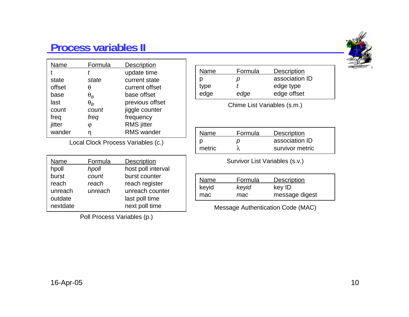#### **Process variables II**

| Name   | Formula    | <b>Description</b> |
|--------|------------|--------------------|
|        |            | update time        |
| state  | state      | current state      |
| offset | θ          | current offset     |
| base   | $\theta_R$ | base offset        |
| last   | $\theta_R$ | previous offset    |
| count  | count      | jiggle counter     |
| freq   | freq       | frequency          |
| jitter | φ          | <b>RMS</b> jitter  |
| wander |            | <b>RMS</b> wander  |

Local Clock Process Variables (c.)

| Name     | Formula | <b>Description</b> |
|----------|---------|--------------------|
| hpoll    | hpoll   | host poll interval |
| burst    | count   | burst counter      |
| reach    | reach   | reach register     |
| unreach  | unreach | unreach counter    |
| outdate  |         | last poll time     |
| nextdate |         | next poll time     |

Poll Process Variables (p.)

| Name | Formula | <b>Description</b> |
|------|---------|--------------------|
| р    | D       | association ID     |
| type |         | edge type          |
| edge | edge    | edge offset        |
|      |         |                    |

Chime List Variables (s.m.)

| Name.  | <b>Formula</b> | <b>Description</b> |
|--------|----------------|--------------------|
| D      | D              | association ID     |
| metric |                | survivor metric    |

Survivor List Variables (s.v.)

| ` <u>Name</u> | Formula | <b>Description</b> |
|---------------|---------|--------------------|
| keyid         | keyid   | key ID             |
| mac           | mac     | message digest     |

Message Authentication Code (MAC)

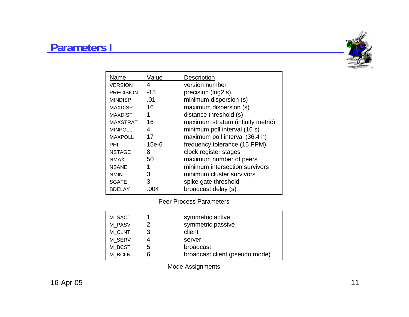#### **Parameters I**



| Name             | Value   | Description                       |
|------------------|---------|-----------------------------------|
| <b>VERSION</b>   | 4       | version number                    |
| <b>PRECISION</b> | $-18$   | precision (log2 s)                |
| <b>MINDISP</b>   | .01     | minimum dispersion (s)            |
| <b>MAXDISP</b>   | 16      | maximum dispersion (s)            |
| <b>MAXDIST</b>   | 1       | distance threshold (s)            |
| <b>MAXSTRAT</b>  | 16      | maximum stratum (infinity metric) |
| <b>MINPOLL</b>   | 4       | minimum poll interval (16 s)      |
| <b>MAXPOLL</b>   | 17      | maximum poll interval (36.4 h)    |
| PHI              | $15e-6$ | frequency tolerance (15 PPM)      |
| <b>NSTAGE</b>    | 8       | clock register stages             |
| <b>NMAX</b>      | 50      | maximum number of peers           |
| <b>NSANE</b>     | 1       | minimum intersection survivors    |
| <b>NMIN</b>      | 3       | minimum cluster survivors         |
| <b>SGATE</b>     | 3       | spike gate threshold              |
| <b>BDELAY</b>    |         | broadcast delay (s)               |

Peer Process Parameters

| M SACT<br>M PASV |    | symmetric active<br>symmetric passive |
|------------------|----|---------------------------------------|
| M CLNT           | 3  | client                                |
| M SERV           |    | server                                |
| M BCST           | b. | broadcast                             |
| M BCLN           |    | broadcast client (pseudo mode)        |

Mode Assignments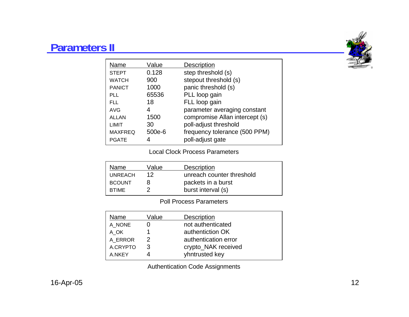#### **Parameters II**



| Name           | Value  | <b>Description</b>             |
|----------------|--------|--------------------------------|
| <b>STEPT</b>   | 0.128  | step threshold (s)             |
| <b>WATCH</b>   | 900    | stepout threshold (s)          |
| <b>PANICT</b>  | 1000   | panic threshold (s)            |
| PLL            | 65536  | PLL loop gain                  |
| FLL            | 18     | FLL loop gain                  |
| <b>AVG</b>     | 4      | parameter averaging constant   |
| <b>ALLAN</b>   | 1500   | compromise Allan intercept (s) |
| LIMIT          | 30     | poll-adjust threshold          |
| <b>MAXFREQ</b> | 500e-6 | frequency tolerance (500 PPM)  |
| <b>PGATE</b>   |        | poll-adjust gate               |

#### Local Clock Process Parameters

| Name           | Value | <b>Description</b>        |
|----------------|-------|---------------------------|
| <b>UNREACH</b> | 12    | unreach counter threshold |
| <b>BCOUNT</b>  |       | packets in a burst        |
| <b>BTIME</b>   |       | burst interval (s)        |

#### Poll Process Parameters

| Name     | Value | Description          |
|----------|-------|----------------------|
| A NONE   |       | not authenticated    |
| A OK     |       | authentiction OK     |
| A ERROR  | 2     | authentication error |
| A.CRYPTO | 3     | crypto_NAK received  |
| A.NKEY   |       | yhntrusted key       |

Authentication Code Assignments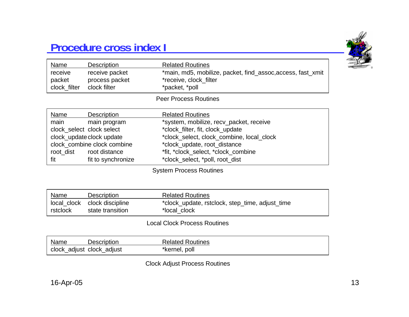#### **Procedure cross index I**



| receive packet<br>*main, md5, mobilize, packet, find_assoc, access, fast_xmit<br>receive |  |
|------------------------------------------------------------------------------------------|--|
|                                                                                          |  |
| process packet<br>*receive, clock_filter<br>packet                                       |  |
| clock filter<br>clock_filter<br>*packet, *poll                                           |  |
| <b>Peer Process Routines</b>                                                             |  |
| Name<br><b>Related Routines</b><br><b>Description</b>                                    |  |
| main<br>*system, mobilize, recv_packet, receive<br>main program                          |  |
| clock_select_clock select<br>*clock_filter, fit, clock_update                            |  |
| clock_update clock update<br>*clock_select, clock_combine, local_clock                   |  |
| clock_combine clock combine<br>*clock_update, root_distance                              |  |
| *fit, *clock_select, *clock_combine<br>root distance<br>root dist                        |  |
| fit to synchronize<br>*clock_select, *poll, root_dist<br>fit                             |  |

System Process Routines

| Name     | <b>Description</b>           | <b>Related Routines</b>                         |
|----------|------------------------------|-------------------------------------------------|
|          | local_clock clock discipline | *clock_update, rstclock, step_time, adjust_time |
| rstclock | state transition             | *local clock                                    |

Local Clock Process Routines

| Name | <b>Description</b>        | <b>Related Routines</b> |
|------|---------------------------|-------------------------|
|      | clock_adjust clock_adjust | *kernel, poll           |

Clock Adjust Process Routines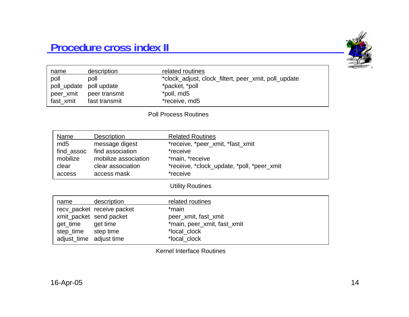#### **Procedure cross index II**



| name                    | description   | related routines                                     |
|-------------------------|---------------|------------------------------------------------------|
| poll                    | poll          | *clock_adjust, clock_filtert, peer_xmit, poll_update |
| poll_update poll update |               | *packet, *poll                                       |
| peer_xmit               | peer transmit | *poll, md5                                           |
| fast xmit               | fast transmit | *receive, md5                                        |

#### Poll Process Routines

| Name            | Description          | <b>Related Routines</b>                    |
|-----------------|----------------------|--------------------------------------------|
| md <sub>5</sub> | message digest       | *receive, *peer_xmit, *fast_xmit           |
| find_assoc      | find association     | *receive                                   |
| mobilize        | mobilize association | *main, *receive                            |
| clear           | clear association    | *receive, *clock_update, *poll, *peer_xmit |
| access          | access mask          | *receive                                   |
|                 |                      |                                            |

#### Utility Routines

| name                    | description                | related routines            |
|-------------------------|----------------------------|-----------------------------|
|                         | recv_packet_receive_packet | *main                       |
|                         | xmit_packet_send packet    | peer xmit, fast xmit        |
| get_time                | get time                   | *main, peer_xmit, fast_xmit |
| step_time               | step time                  | *local clock                |
| adjust_time adjust time |                            | *local clock                |

Kernel Interface Routines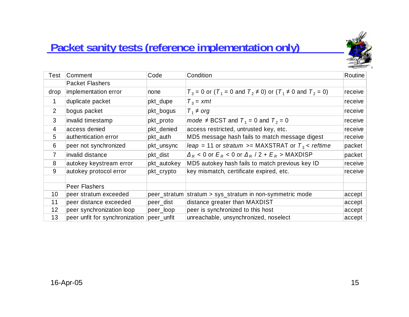### **Packet sanity tests (reference implementation only)**



| Test           | Comment                        | Code         | Condition                                                                                                         | Routine |
|----------------|--------------------------------|--------------|-------------------------------------------------------------------------------------------------------------------|---------|
|                | <b>Packet Flashers</b>         |              |                                                                                                                   |         |
| drop           | implementation error           | none         | $T_3$ = 0 or (T <sub>1</sub> = 0 and T <sub>2</sub> $\neq$ 0) or (T <sub>1</sub> $\neq$ 0 and T <sub>2</sub> = 0) | receive |
| 1              | duplicate packet               | pkt_dupe     | $T_3 = xmt$                                                                                                       | receive |
| $\overline{2}$ | bogus packet                   | pkt_bogus    | $T_1 \neq \text{org}$                                                                                             | receive |
| 3              | invalid timestamp              | pkt_proto    | mode $\neq$ BCST and $T_1$ = 0 and $T_2$ = 0                                                                      | receive |
| $\overline{4}$ | access denied                  | pkt_denied   | access restricted, untrusted key, etc.                                                                            | receive |
| 5              | authentication error           | pkt_auth     | MD5 message hash fails to match message digest                                                                    | receive |
| 6              | peer not synchronized          | pkt_unsync   | leap = 11 or stratum >= MAXSTRAT or $T_3$ < reftime                                                               | packet  |
| $\overline{7}$ | invalid distance               | pkt_dist     | $\Delta_R$ < 0 or $E_R$ < 0 or $\Delta_R$ / 2 + $E_R$ > MAXDISP                                                   | packet  |
| 8              | autokey keystream error        | pkt_autokey  | MD5 autokey hash fails to match previous key ID                                                                   | receive |
| 9              | autokey protocol error         | pkt_crypto   | key mismatch, certificate expired, etc.                                                                           | receive |
|                | <b>Peer Flashers</b>           |              |                                                                                                                   |         |
| 10             | peer stratum exceeded          | peer_stratum | stratum > sys_stratum in non-symmetric mode                                                                       | accept  |
| 11             | peer distance exceeded         | peer_dist    | distance greater than MAXDIST                                                                                     | accept  |
| 12             | peer synchronization loop      | peer_loop    | peer is synchronized to this host                                                                                 | accept  |
| 13             | peer unfit for synchronization | peer_unfit   | unreachable, unsynchronized, noselect                                                                             | accept  |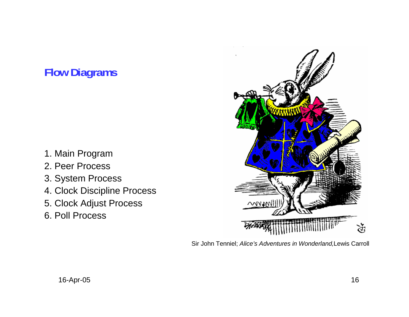## **Flow Diagrams**

- 1. Main Program
- 2. Peer Process
- 3. System Process
- 4. Clock Discipline Process
- 5. Clock Adjust Process
- 6. Poll Process



Sir John Tenniel; *Alice's Adventures in Wonderland,*Lewis Carroll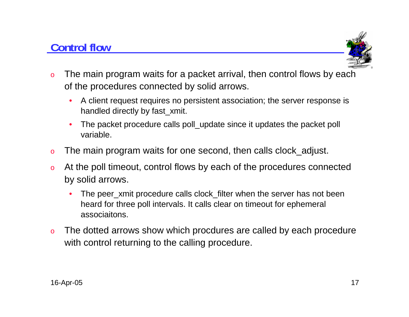### **Control flow**



- o The main program waits for a packet arrival, then control flows by each of the procedures connected by solid arrows.
	- • A client request requires no persistent association; the server response is handled directly by fast\_xmit.
	- • The packet procedure calls poll\_update since it updates the packet poll variable.
- oThe main program waits for one second, then calls clock\_adjust.
- o At the poll timeout, control flows by each of the procedures connected by solid arrows.
	- •The peer xmit procedure calls clock filter when the server has not been heard for three poll intervals. It calls clear on timeout for ephemeral associaitons.
- o The dotted arrows show which procdures are called by each procedure with control returning to the calling procedure.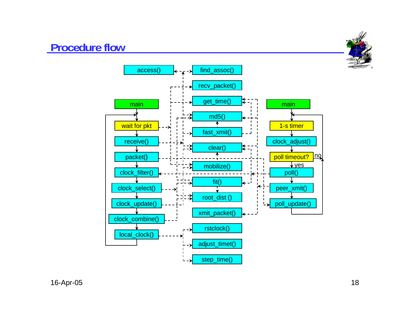#### **Procedure flow**

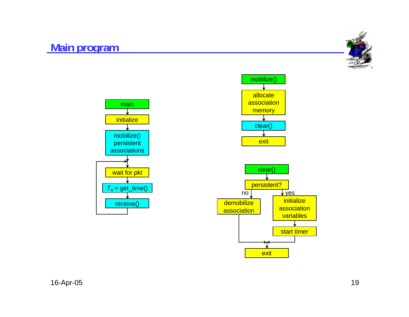#### **Main program**





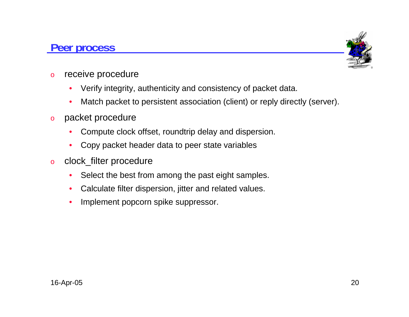#### **Peer process**



- o receive procedure
	- $\bullet$ Verify integrity, authenticity and consistency of packet data.
	- $\bullet$ Match packet to persistent association (client) or reply directly (server).
- o packet procedure
	- •Compute clock offset, roundtrip delay and dispersion.
	- •Copy packet header data to peer state variables
- o clock\_filter procedure
	- •Select the best from among the past eight samples.
	- •Calculate filter dispersion, jitter and related values.
	- •Implement popcorn spike suppressor.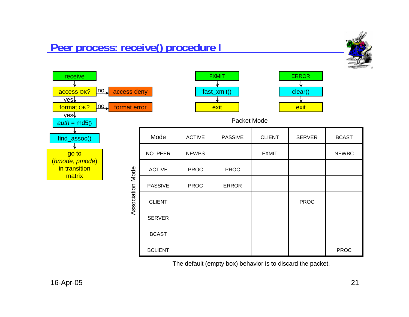#### **Peer process: receive() procedure I**



ERROR

clear()



| ror            |               | exit           |               | exit          |              |  |  |  |
|----------------|---------------|----------------|---------------|---------------|--------------|--|--|--|
| Packet Mode    |               |                |               |               |              |  |  |  |
| Mode           | <b>ACTIVE</b> | <b>PASSIVE</b> | <b>CLIENT</b> | <b>SERVER</b> | <b>BCAST</b> |  |  |  |
| NO_PEER        | <b>NEWPS</b>  |                | <b>FXMIT</b>  |               | <b>NEWBC</b> |  |  |  |
| <b>ACTIVE</b>  | <b>PROC</b>   | <b>PROC</b>    |               |               |              |  |  |  |
| <b>PASSIVE</b> | <b>PROC</b>   | <b>ERROR</b>   |               |               |              |  |  |  |
| <b>CLIENT</b>  |               |                |               | <b>PROC</b>   |              |  |  |  |
| <b>SERVER</b>  |               |                |               |               |              |  |  |  |
| <b>BCAST</b>   |               |                |               |               |              |  |  |  |
| <b>BCLIENT</b> |               |                |               |               | <b>PROC</b>  |  |  |  |

FXMIT

fast\_xmit()

The default (empty box) behavior is to discard the packet.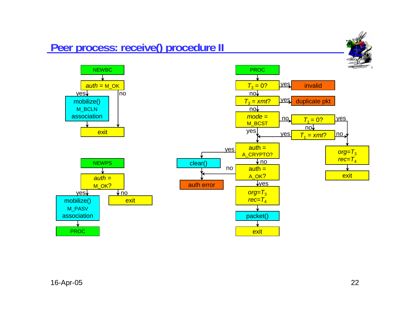

#### 16-Apr-05 22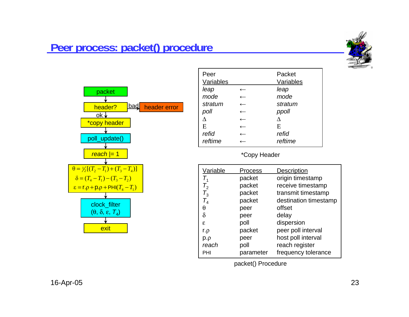

#### **Peer process: packet() procedure**



| Peer      | Packet    |
|-----------|-----------|
| Variables | Variables |
| leap      | leap      |
| mode      | mode      |
| stratum   | stratum   |
| poll      | ppoll     |
|           |           |
| E         | E         |
| refid     | refid     |
| reftime   | reftime   |

#### |= 1 \*Copy Header

| Variable | Process   | <b>Description</b>    |
|----------|-----------|-----------------------|
| $T_{1}$  | packet    | origin timestamp      |
| $T_{2}$  | packet    | receive timestamp     |
| $T_3$    | packet    | transmit timestamp    |
| $T_4$    | packet    | destination timestamp |
| θ        | peer      | offset                |
| $\delta$ | peer      | delay                 |
| ε        | poll      | dispersion            |
| $r.\rho$ | packet    | peer poll interval    |
| $p.\rho$ | peer      | host poll interval    |
| reach    | poll      | reach register        |
| PHI      | parameter | frequency tolerance   |

packet() Procedure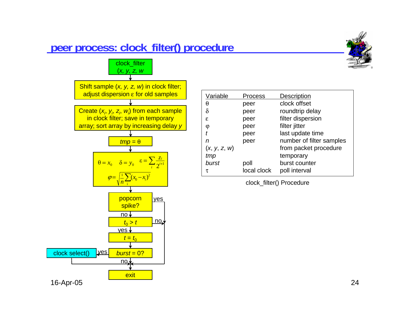#### **peer process: clock\_filter() procedure**





| Variable     | <b>Process</b> | Description              |
|--------------|----------------|--------------------------|
| θ            | peer           | clock offset             |
| $\delta$     | peer           | roundtrip delay          |
| £.           | peer           | filter dispersion        |
| φ            | peer           | filter jitter            |
| t            | peer           | last update time         |
| n            | peer           | number of filter samples |
| (x, y, z, w) |                | from packet procedure    |
| tmp          |                | temporary                |
| burst        | poll           | burst counter            |
| τ            | local clock    | poll interval            |

clock\_filter() Procedure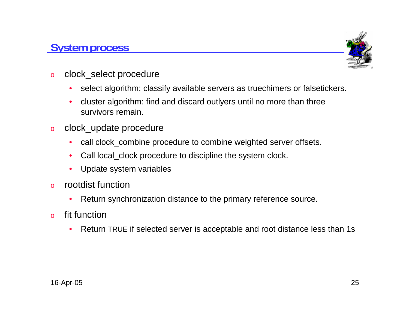#### **System process**



- o clock\_select procedure
	- $\bullet$ select algorithm: classify available servers as truechimers or falsetickers.
	- • cluster algorithm: find and discard outlyers until no more than three survivors remain.
- o clock\_update procedure
	- $\bullet$ call clock\_combine procedure to combine weighted server offsets.
	- $\bullet$ Call local\_clock procedure to discipline the system clock.
	- $\bullet$ Update system variables
- o rootdist function
	- $\bullet$ Return synchronization distance to the primary reference source.
- o fit function
	- •• Return TRUE if selected server is acceptable and root distance less than 1s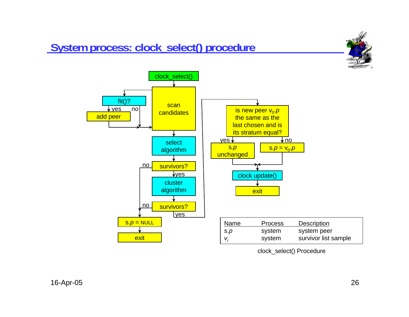## **System process: clock\_select() procedure**





clock\_select() Procedure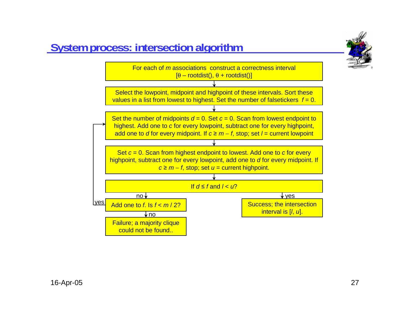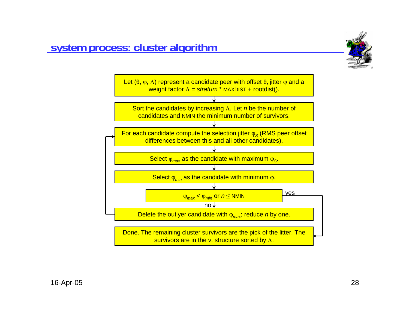

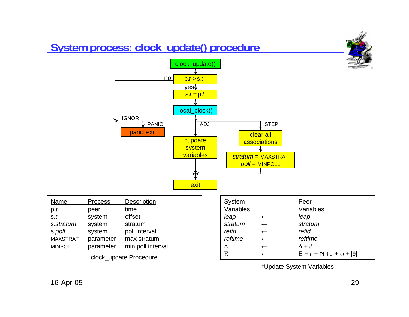

Ε

 $\begin{array}{ccc} \hline \text{clock\_update } \text{ Procedure} \end{array}$   $\begin{array}{ccc} \hline \text{E} & \leftarrow & \text{E + \varepsilon + \text{PHI} \mu + \varphi + \left| \theta \right| \end{array}$ 

\*Update System Variables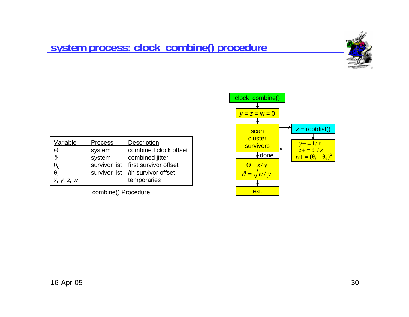#### **system process: clock\_combine() procedure**



| Variable                   | <b>Process</b> | <b>Description</b>                  |
|----------------------------|----------------|-------------------------------------|
| Θ                          | system         | combined clock offset               |
| r                          | system         | combined jitter                     |
| $\bm{\theta}_{\mathbf{0}}$ |                | survivor list first survivor offset |
| θ                          |                | survivor list th survivor offset    |
| X, Y, Z, W                 |                | temporaries                         |

combine() Procedure

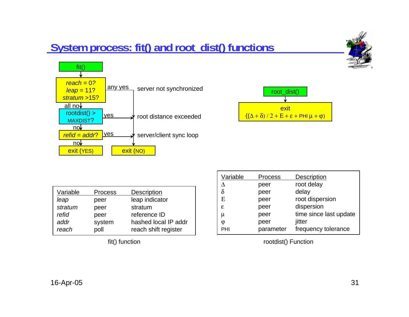## **System process: fit() and root\_dist() functions**





| Variable | <b>Process</b> | Description          |
|----------|----------------|----------------------|
| leap     | peer           | leap indicator       |
| stratum  | peer           | stratum              |
| refid    | peer           | reference ID         |
| addr     | system         | hashed local IP addr |
| reach    | poll           | reach shift register |

| Variable | Process   | Description            |
|----------|-----------|------------------------|
|          | peer      | root delay             |
|          | peer      | delay                  |
| E        | peer      | root dispersion        |
| ε        | peer      | dispersion             |
| μ        | peer      | time since last update |
| Φ        | peer      | jitter                 |
| PHI      | parameter | frequency tolerance    |

fit() function rootdist() Function

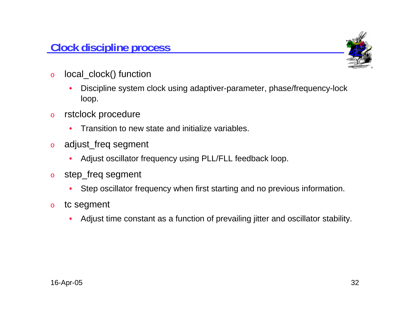

- o local\_clock() function
	- • Discipline system clock using adaptiver-parameter, phase/frequency-lock loop.
- o rstclock procedure
	- •Transition to new state and initialize variables.
- o adjust\_freq segment
	- •Adjust oscillator frequency using PLL/FLL feedback loop.
- o step\_freq segment
	- $\bullet$ Step oscillator frequency when first starting and no previous information.
- o tc segment
	- •Adjust time constant as a function of prevailing jitter and oscillator stability.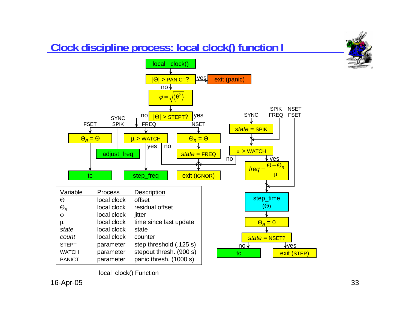### **Clock discipline process: local clock() function I**





local clock() Function

16-Apr-05 33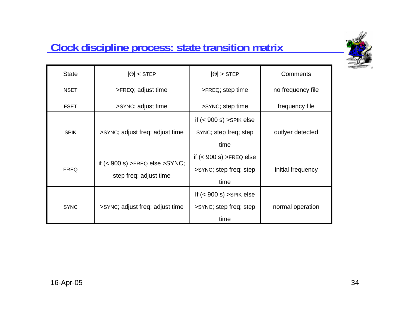

### **Clock discipline process: state transition matrix**

| <b>State</b> | $ \Theta $ < STEP                                          | $ \Theta $ > STEP                                            | Comments          |
|--------------|------------------------------------------------------------|--------------------------------------------------------------|-------------------|
| <b>NSET</b>  | >FREQ; adjust time                                         | >FREQ; step time                                             | no frequency file |
| <b>FSET</b>  | >SYNC; adjust time                                         | >SYNC; step time                                             | frequency file    |
| <b>SPIK</b>  | >SYNC; adjust freq; adjust time                            | if $(< 900 s)$ > SPIK else<br>SYNC; step freq; step<br>time  | outlyer detected  |
| <b>FREQ</b>  | if $(< 900 s)$ >FREQ else >SYNC;<br>step freq; adjust time | if $(< 900 s)$ >FREQ else<br>>SYNC; step freq; step<br>time  | Initial frequency |
| <b>SYNC</b>  | >SYNC; adjust freq; adjust time                            | If $(< 900 s)$ > SPIK else<br>>SYNC; step freq; step<br>time | normal operation  |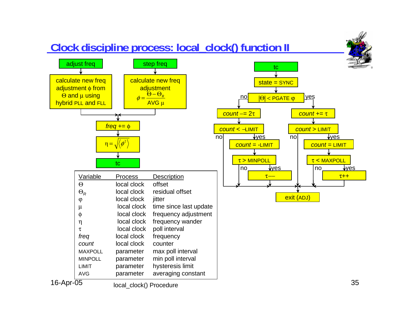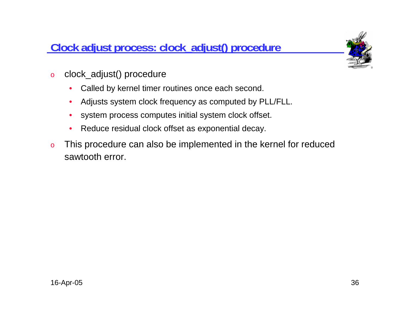#### **Clock adjust process: clock\_adjust() procedure**



- o clock\_adjust() procedure
	- $\bullet$ Called by kernel timer routines once each second.
	- •Adjusts system clock frequency as computed by PLL/FLL.
	- $\bullet$ system process computes initial system clock offset.
	- •Reduce residual clock offset as exponential decay.
- o This procedure can also be implemented in the kernel for reduced sawtooth error.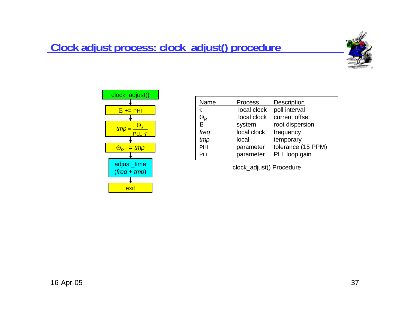#### **Clock adjust process: clock\_adjust() procedure**





| Name       | <b>Process</b> | <b>Description</b> |
|------------|----------------|--------------------|
| τ          | local clock    | poll interval      |
| $\Theta_R$ | local clock    | current offset     |
| E          | system         | root dispersion    |
| freq       | local clock    | frequency          |
| tmp        | local          | temporary          |
| PHI        | parameter      | tolerance (15 PPM) |
| PL L       | parameter      | PLL loop gain      |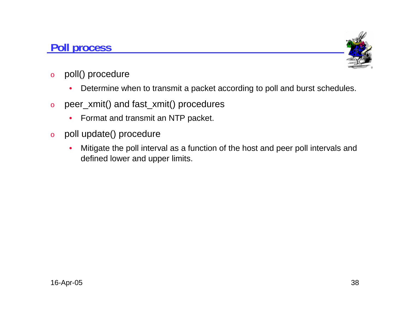#### **Poll process**



- o poll() procedure
	- $\bullet$ Determine when to transmit a packet according to poll and burst schedules.
- o peer\_xmit() and fast\_xmit() procedures
	- •Format and transmit an NTP packet.
- o poll update() procedure
	- • Mitigate the poll interval as a function of the host and peer poll intervals and defined lower and upper limits.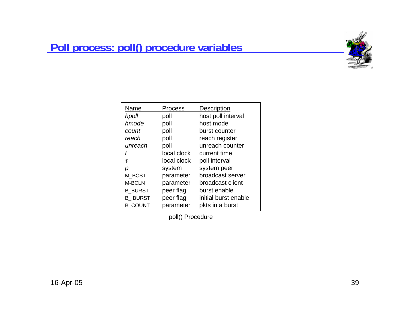### **Poll process: poll() procedure variables**



|       | Name            | Process     | Description          |
|-------|-----------------|-------------|----------------------|
| hpoll |                 | poll        | host poll interval   |
|       | hmode           | poll        | host mode            |
|       | count           | poll        | burst counter        |
|       | reach           | poll        | reach register       |
|       | unreach         | poll        | unreach counter      |
| t     |                 | local clock | current time         |
| τ     |                 | local clock | poll interval        |
| р     |                 | system      | system peer          |
|       | M BCST          | parameter   | broadcast server     |
|       | M-BCLN          | parameter   | broadcast client     |
|       | <b>B BURST</b>  | peer flag   | burst enable         |
|       | <b>B IBURST</b> | peer flag   | initial burst enable |
|       | <b>B COUNT</b>  | parameter   | pkts in a burst      |

poll() Procedure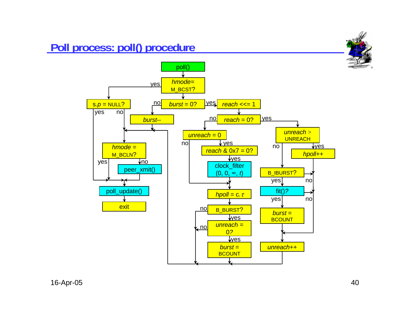### **Poll process: poll() procedure**

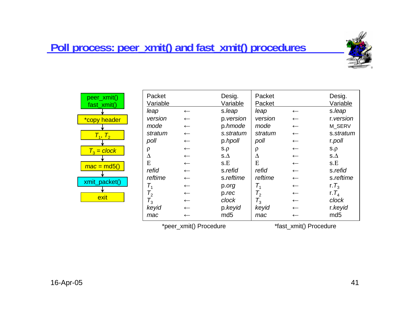#### **Poll process: peer\_xmit() and fast\_xmit() procedures**



| peer_xmit()<br>fast_xmit() | Packet<br>Variable   |                          | Desig.<br>Variable | Packet<br>Packet     |                          | Desig.<br>Variable |
|----------------------------|----------------------|--------------------------|--------------------|----------------------|--------------------------|--------------------|
|                            | leap                 | $\longleftarrow$         | s.leap             | leap                 | $\leftarrow$             | s.leap             |
| *copy header               | version              | $\leftarrow$             | p.version          | version              | $\leftarrow$             | r.version          |
|                            | mode                 | $\leftarrow$             | p.hmode            | mode                 | $\leftarrow$             | M SERV             |
| $T_{1}$ , $T_{2}$          | stratum              | $\leftarrow$             | s.stratum          | stratum              | $\leftarrow$             | s.stratum          |
|                            | poll                 | $\leftarrow$             | p.hpoll            | poll                 | $\leftarrow$             | r.poll             |
| $T_3 = clock$              | ρ                    | $\leftarrow$             | $S.\rho$           |                      | $\leftarrow$             | $S.\rho$           |
|                            | Δ                    | $\leftarrow$             | $S.\Delta$         | л                    | $\leftarrow$             | $S.\Delta$         |
| $mac = md5()$              | E                    | $\leftarrow$             | s.E                | E                    | $\leftarrow$             | s.E                |
|                            | refid                | $\leftarrow$             | s.refid            | refid                | $\leftarrow$             | s.refid            |
|                            | reftime              | $\leftarrow$             | s.reftime          | reftime              | $\leftarrow$             | s.reftime          |
| xmit_packet()              |                      | $\leftarrow$             | p.org              | Τ,                   | $\leftarrow$             | r. $T_3$           |
|                            | $\mathcal{T}^{}_{2}$ | $\leftarrow$             | p.rec              | $\mathcal{T}^{}_{2}$ | $\leftarrow$             | r. $T_4$           |
| exit                       | $\mathcal{T}^{}_{3}$ | $\leftarrow$             | clock              | $T_{3}$              | $\leftarrow$             | clock              |
|                            | keyid                | $\leftarrow$             | p.keyid            | keyid                | $\leftarrow$             | r.keyid            |
|                            | mac                  | $\overline{\phantom{m}}$ | md <sub>5</sub>    | mac                  | $\overline{\phantom{m}}$ | md <sub>5</sub>    |

\*peer\_xmit() Procedure

\*fast\_xmit() Procedure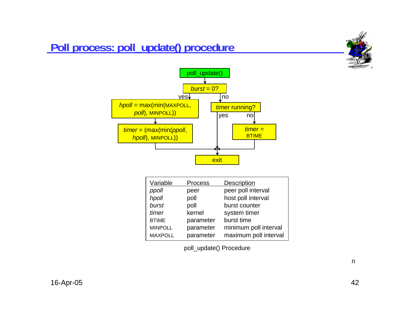#### **Poll process: poll\_update() procedure**





| Variable       | <b>Process</b> | <b>Description</b>    |
|----------------|----------------|-----------------------|
| ppoll          | peer           | peer poll interval    |
| hpoll          | poll           | host poll interval    |
| burst          | poll           | burst counter         |
| timer          | kernel         | system timer          |
| <b>BTIME</b>   | parameter      | burst time            |
| <b>MINPOLL</b> | parameter      | minimum poll interval |
| <b>MAXPOLL</b> | parameter      | maximum poll interval |
|                |                |                       |

poll\_update() Procedure

n